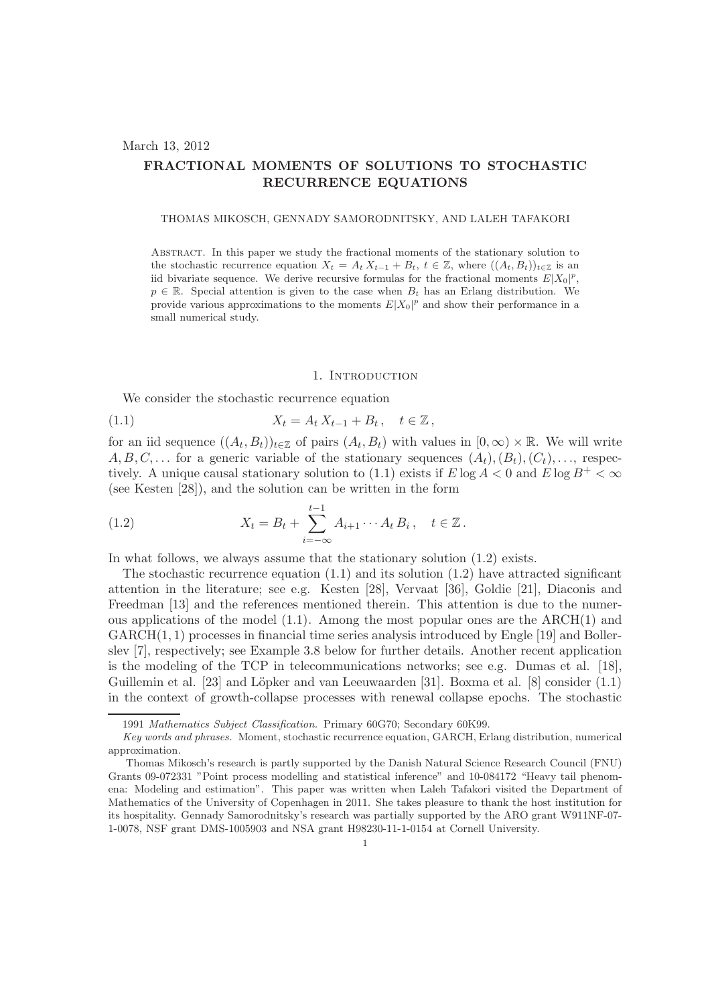## March 13, 2012

# FRACTIONAL MOMENTS OF SOLUTIONS TO STOCHASTIC RECURRENCE EQUATIONS

#### THOMAS MIKOSCH, GENNADY SAMORODNITSKY, AND LALEH TAFAKORI

Abstract. In this paper we study the fractional moments of the stationary solution to the stochastic recurrence equation  $X_t = A_t X_{t-1} + B_t$ ,  $t \in \mathbb{Z}$ , where  $((A_t, B_t))_{t \in \mathbb{Z}}$  is an iid bivariate sequence. We derive recursive formulas for the fractional moments  $E|X_0|^p$ ,  $p \in \mathbb{R}$ . Special attention is given to the case when  $B_t$  has an Erlang distribution. We provide various approximations to the moments  $E|X_0|^p$  and show their performance in a small numerical study.

### 1. INTRODUCTION

We consider the stochastic recurrence equation

(1.1) 
$$
X_t = A_t X_{t-1} + B_t, \quad t \in \mathbb{Z},
$$

for an iid sequence  $((A_t, B_t))_{t \in \mathbb{Z}}$  of pairs  $(A_t, B_t)$  with values in  $[0, \infty) \times \mathbb{R}$ . We will write  $A, B, C, \ldots$  for a generic variable of the stationary sequences  $(A_t), (B_t), (C_t), \ldots$ , respectively. A unique causal stationary solution to (1.1) exists if  $E \log A < 0$  and  $E \log B^{+} < \infty$ (see Kesten [28]), and the solution can be written in the form

(1.2) 
$$
X_t = B_t + \sum_{i=-\infty}^{t-1} A_{i+1} \cdots A_t B_i, \quad t \in \mathbb{Z}.
$$

In what follows, we always assume that the stationary solution (1.2) exists.

The stochastic recurrence equation  $(1.1)$  and its solution  $(1.2)$  have attracted significant attention in the literature; see e.g. Kesten [28], Vervaat [36], Goldie [21], Diaconis and Freedman [13] and the references mentioned therein. This attention is due to the numerous applications of the model  $(1.1)$ . Among the most popular ones are the ARCH $(1)$  and  $GARCH(1, 1)$  processes in financial time series analysis introduced by Engle [19] and Bollerslev [7], respectively; see Example 3.8 below for further details. Another recent application is the modeling of the TCP in telecommunications networks; see e.g. Dumas et al. [18], Guillemin et al. [23] and Löpker and van Leeuwaarden [31]. Boxma et al. [8] consider (1.1) in the context of growth-collapse processes with renewal collapse epochs. The stochastic

<sup>1991</sup> Mathematics Subject Classification. Primary 60G70; Secondary 60K99.

Key words and phrases. Moment, stochastic recurrence equation, GARCH, Erlang distribution, numerical approximation.

Thomas Mikosch's research is partly supported by the Danish Natural Science Research Council (FNU) Grants 09-072331 "Point process modelling and statistical inference" and 10-084172 "Heavy tail phenomena: Modeling and estimation". This paper was written when Laleh Tafakori visited the Department of Mathematics of the University of Copenhagen in 2011. She takes pleasure to thank the host institution for its hospitality. Gennady Samorodnitsky's research was partially supported by the ARO grant W911NF-07- 1-0078, NSF grant DMS-1005903 and NSA grant H98230-11-1-0154 at Cornell University.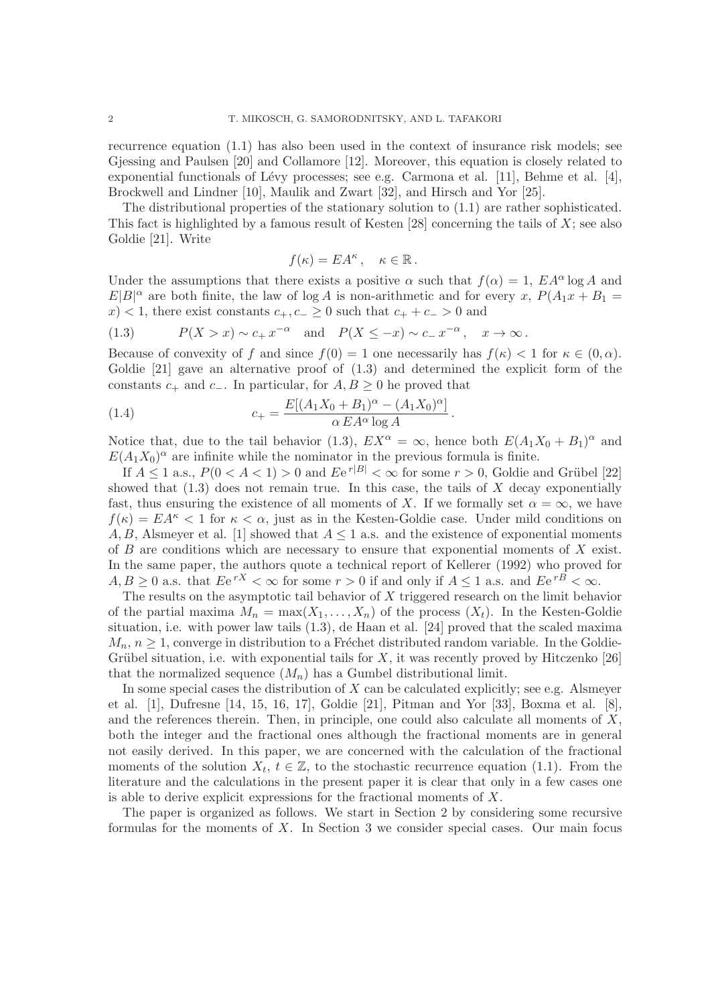recurrence equation (1.1) has also been used in the context of insurance risk models; see Gjessing and Paulsen [20] and Collamore [12]. Moreover, this equation is closely related to exponential functionals of Lévy processes; see e.g. Carmona et al. [11], Behme et al. [4], Brockwell and Lindner [10], Maulik and Zwart [32], and Hirsch and Yor [25].

The distributional properties of the stationary solution to  $(1.1)$  are rather sophisticated. This fact is highlighted by a famous result of Kesten [28] concerning the tails of  $X$ ; see also Goldie [21]. Write

$$
f(\kappa) = EA^{\kappa}, \quad \kappa \in \mathbb{R}.
$$

Under the assumptions that there exists a positive  $\alpha$  such that  $f(\alpha) = 1$ ,  $EA^{\alpha} \log A$  and  $E|B|^{\alpha}$  are both finite, the law of log A is non-arithmetic and for every x,  $P(A_1x + B_1 =$  $x$  < 1, there exist constants  $c_+, c_- \geq 0$  such that  $c_+ + c_- > 0$  and

(1.3) 
$$
P(X > x) \sim c_+ x^{-\alpha}
$$
 and  $P(X \le -x) \sim c_- x^{-\alpha}$ ,  $x \to \infty$ .

Because of convexity of f and since  $f(0) = 1$  one necessarily has  $f(\kappa) < 1$  for  $\kappa \in (0, \alpha)$ . Goldie [21] gave an alternative proof of  $(1.3)$  and determined the explicit form of the constants  $c_+$  and  $c_-$ . In particular, for  $A, B \geq 0$  he proved that

(1.4) 
$$
c_{+} = \frac{E[(A_1X_0 + B_1)^{\alpha} - (A_1X_0)^{\alpha}]}{\alpha EA^{\alpha} \log A}.
$$

Notice that, due to the tail behavior (1.3),  $EX^{\alpha} = \infty$ , hence both  $E(A_1X_0 + B_1)^{\alpha}$  and  $E(A_1X_0)^\alpha$  are infinite while the nominator in the previous formula is finite.

If  $A \leq 1$  a.s.,  $P(0 < A < 1) > 0$  and  $Ee^{r|B|} < \infty$  for some  $r > 0$ , Goldie and Grübel [22] showed that  $(1.3)$  does not remain true. In this case, the tails of X decay exponentially fast, thus ensuring the existence of all moments of X. If we formally set  $\alpha = \infty$ , we have  $f(\kappa) = EA^{\kappa} < 1$  for  $\kappa < \alpha$ , just as in the Kesten-Goldie case. Under mild conditions on A, B, Alsmeyer et al. [1] showed that  $A \leq 1$  a.s. and the existence of exponential moments of  $B$  are conditions which are necessary to ensure that exponential moments of  $X$  exist. In the same paper, the authors quote a technical report of Kellerer (1992) who proved for  $A, B \geq 0$  a.s. that  $Ee^{rX} < \infty$  for some  $r > 0$  if and only if  $A \leq 1$  a.s. and  $Ee^{rB} < \infty$ .

The results on the asymptotic tail behavior of  $X$  triggered research on the limit behavior of the partial maxima  $M_n = \max(X_1, \ldots, X_n)$  of the process  $(X_t)$ . In the Kesten-Goldie situation, i.e. with power law tails (1.3), de Haan et al. [24] proved that the scaled maxima  $M_n, n \geq 1$ , converge in distribution to a Fréchet distributed random variable. In the Goldie-Grübel situation, i.e. with exponential tails for  $X$ , it was recently proved by Hitczenko [26] that the normalized sequence  $(M_n)$  has a Gumbel distributional limit.

In some special cases the distribution of X can be calculated explicitly; see e.g. Alsmeyer et al. [1], Dufresne [14, 15, 16, 17], Goldie [21], Pitman and Yor [33], Boxma et al. [8], and the references therein. Then, in principle, one could also calculate all moments of  $X$ , both the integer and the fractional ones although the fractional moments are in general not easily derived. In this paper, we are concerned with the calculation of the fractional moments of the solution  $X_t$ ,  $t \in \mathbb{Z}$ , to the stochastic recurrence equation (1.1). From the literature and the calculations in the present paper it is clear that only in a few cases one is able to derive explicit expressions for the fractional moments of X.

The paper is organized as follows. We start in Section 2 by considering some recursive formulas for the moments of X. In Section 3 we consider special cases. Our main focus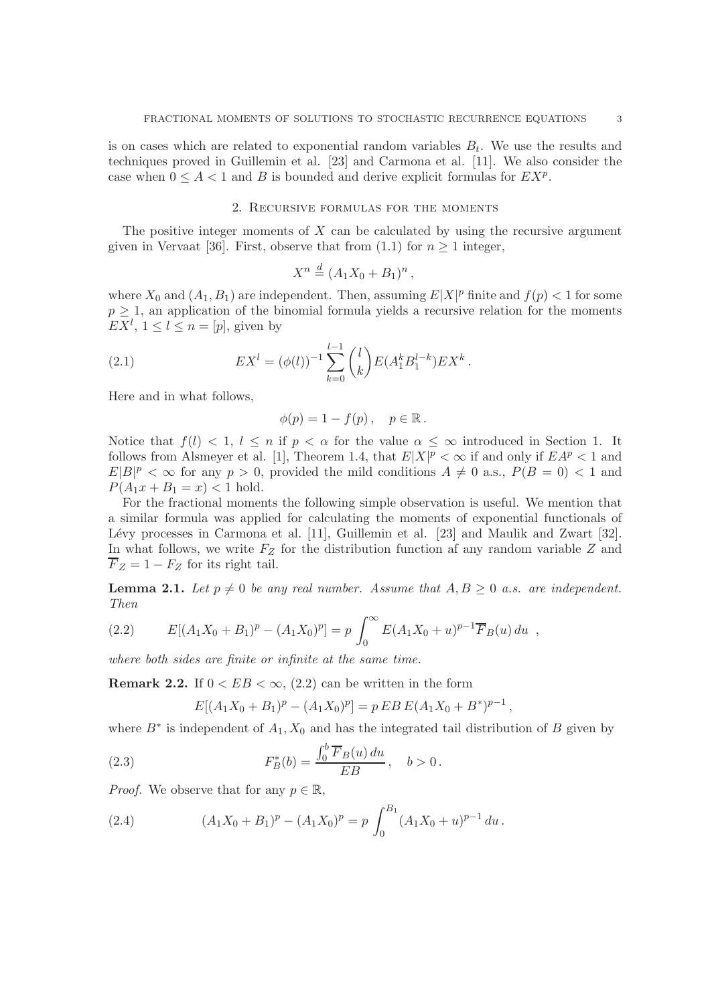is on cases which are related to exponential random variables  $B_t$ . We use the results and techniques proved in Guillemin et al. [23] and Carmona et al. [11]. We also consider the case when  $0 \leq A < 1$  and B is bounded and derive explicit formulas for  $EX^p$ .

## 2. Recursive formulas for the moments

The positive integer moments of  $X$  can be calculated by using the recursive argument given in Vervaat [36]. First, observe that from (1.1) for  $n \geq 1$  integer,

$$
X^n \stackrel{d}{=} (A_1X_0 + B_1)^n,
$$

where  $X_0$  and  $(A_1, B_1)$  are independent. Then, assuming  $E|X|^p$  finite and  $f(p) < 1$  for some  $p \geq 1$ , an application of the binomial formula yields a recursive relation for the moments  $EX^l, 1 \leq l \leq n = [p],$  given by

(2.1) 
$$
EX^{l} = (\phi(l))^{-1} \sum_{k=0}^{l-1} {l \choose k} E(A_1^{k} B_1^{l-k}) EX^{k}.
$$

Here and in what follows,

$$
\phi(p) = 1 - f(p), \quad p \in \mathbb{R}.
$$

Notice that  $f(l) < 1, l \leq n$  if  $p < \alpha$  for the value  $\alpha \leq \infty$  introduced in Section 1. It follows from Alsmeyer et al. [1], Theorem 1.4, that  $E|X|^p < \infty$  if and only if  $E A^p < 1$  and  $E|B|^p < \infty$  for any  $p > 0$ , provided the mild conditions  $A \neq 0$  a.s.,  $P(B = 0) < 1$  and  $P(A_1x + B_1 = x) < 1$  hold.

For the fractional moments the following simple observation is useful. We mention that a similar formula was applied for calculating the moments of exponential functionals of Lévy processes in Carmona et al.  $[11]$ , Guillemin et al.  $[23]$  and Maulik and Zwart  $[32]$ . In what follows, we write  $F_Z$  for the distribution function af any random variable  $Z$  and  $F_Z = 1 - F_Z$  for its right tail.

**Lemma 2.1.** Let  $p \neq 0$  be any real number. Assume that  $A, B \geq 0$  a.s. are independent. *Then*

(2.2) 
$$
E[(A_1X_0 + B_1)^p - (A_1X_0)^p] = p \int_0^\infty E(A_1X_0 + u)^{p-1} \overline{F}_B(u) du,
$$

*where both sides are finite or infinite at the same time.*

**Remark 2.2.** If  $0 < EB < \infty$ , (2.2) can be written in the form

$$
E[(A_1X_0 + B_1)^p - (A_1X_0)^p] = p E B E (A_1X_0 + B^*)^{p-1},
$$

where  $B^*$  is independent of  $A_1, X_0$  and has the integrated tail distribution of B given by

(2.3) 
$$
F_B^*(b) = \frac{\int_0^b \overline{F}_B(u) \, du}{EB}, \quad b > 0.
$$

*Proof.* We observe that for any  $p \in \mathbb{R}$ ,

(2.4) 
$$
(A_1X_0 + B_1)^p - (A_1X_0)^p = p \int_0^{B_1} (A_1X_0 + u)^{p-1} du.
$$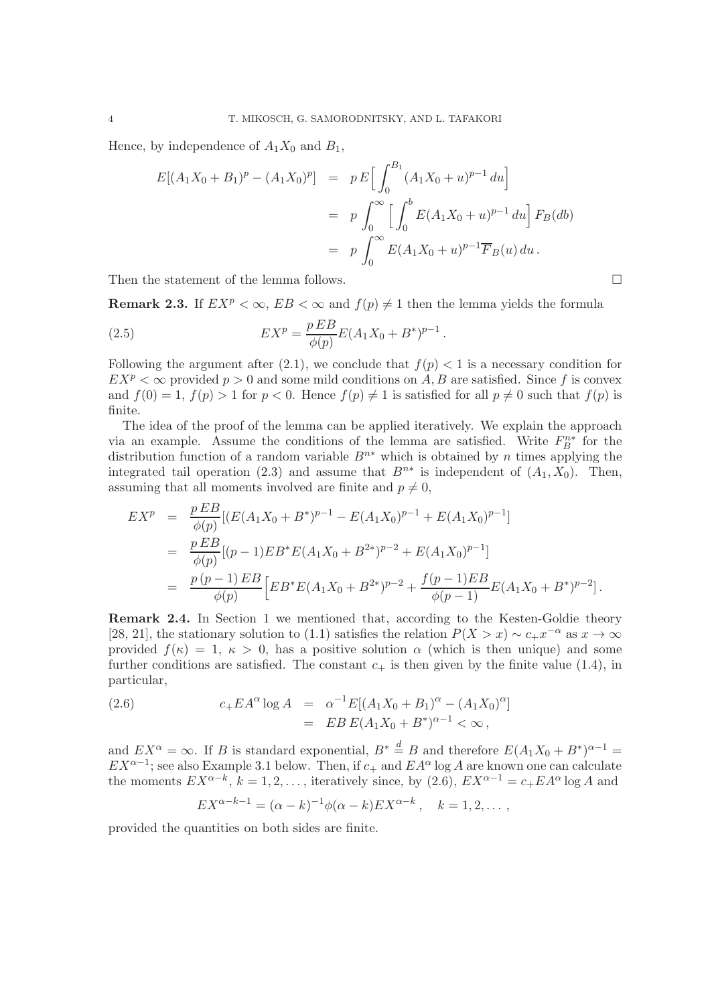Hence, by independence of  $A_1X_0$  and  $B_1$ ,

$$
E[(A_1X_0 + B_1)^p - (A_1X_0)^p] = p E\Big[\int_0^{B_1} (A_1X_0 + u)^{p-1} du\Big]
$$
  
=  $p \int_0^{\infty} \Big[\int_0^b E(A_1X_0 + u)^{p-1} du\Big] F_B(db)$   
=  $p \int_0^{\infty} E(A_1X_0 + u)^{p-1} \overline{F}_B(u) du.$ 

Then the statement of the lemma follows.  $\Box$ 

**Remark 2.3.** If  $EX^p < \infty$ ,  $EB < \infty$  and  $f(p) \neq 1$  then the lemma yields the formula

(2.5) 
$$
EX^{p} = \frac{p EB}{\phi(p)}E(A_{1}X_{0} + B^{*})^{p-1}.
$$

Following the argument after (2.1), we conclude that  $f(p) < 1$  is a necessary condition for  $EX^p < \infty$  provided  $p > 0$  and some mild conditions on A, B are satisfied. Since f is convex and  $f(0) = 1$ ,  $f(p) > 1$  for  $p < 0$ . Hence  $f(p) \neq 1$  is satisfied for all  $p \neq 0$  such that  $f(p)$  is finite.

The idea of the proof of the lemma can be applied iteratively. We explain the approach via an example. Assume the conditions of the lemma are satisfied. Write  $F_B^{n*}$  for the distribution function of a random variable  $B^{n*}$  which is obtained by n times applying the integrated tail operation (2.3) and assume that  $B^{n*}$  is independent of  $(A_1, X_0)$ . Then, assuming that all moments involved are finite and  $p \neq 0$ ,

$$
EX^{p} = \frac{p EB}{\phi(p)} [(E(A_{1}X_{0} + B^{*})^{p-1} - E(A_{1}X_{0})^{p-1} + E(A_{1}X_{0})^{p-1}]
$$
  
\n
$$
= \frac{p EB}{\phi(p)} [(p-1)EB^{*}E(A_{1}X_{0} + B^{2*})^{p-2} + E(A_{1}X_{0})^{p-1}]
$$
  
\n
$$
= \frac{p(p-1) EB}{\phi(p)} [EB^{*}E(A_{1}X_{0} + B^{2*})^{p-2} + \frac{f(p-1)EB}{\phi(p-1)}E(A_{1}X_{0} + B^{*})^{p-2}].
$$

Remark 2.4. In Section 1 we mentioned that, according to the Kesten-Goldie theory [28, 21], the stationary solution to (1.1) satisfies the relation  $P(X > x) \sim c_+ x^{-\alpha}$  as  $x \to \infty$ provided  $f(\kappa) = 1, \kappa > 0$ , has a positive solution  $\alpha$  (which is then unique) and some further conditions are satisfied. The constant  $c_{+}$  is then given by the finite value (1.4), in particular,

(2.6) 
$$
c_{+}EA^{\alpha} \log A = \alpha^{-1} E[(A_1 X_0 + B_1)^{\alpha} - (A_1 X_0)^{\alpha}]
$$

$$
= EB E(A_1 X_0 + B^*)^{\alpha-1} < \infty,
$$

and  $EX^{\alpha} = \infty$ . If B is standard exponential,  $B^* \stackrel{d}{=} B$  and therefore  $E(A_1X_0 + B^*)^{\alpha-1} =$  $EX^{\alpha-1}$ ; see also Example 3.1 below. Then, if  $c_+$  and  $EA^{\alpha}$  log A are known one can calculate the moments  $EX^{\alpha-k}$ ,  $k = 1, 2, \ldots$ , iteratively since, by  $(2.6)$ ,  $EX^{\alpha-1} = c_+ E A^{\alpha} \log A$  and

$$
EX^{\alpha-k-1} = (\alpha - k)^{-1} \phi(\alpha - k) EX^{\alpha-k}, \quad k = 1, 2, \dots,
$$

provided the quantities on both sides are finite.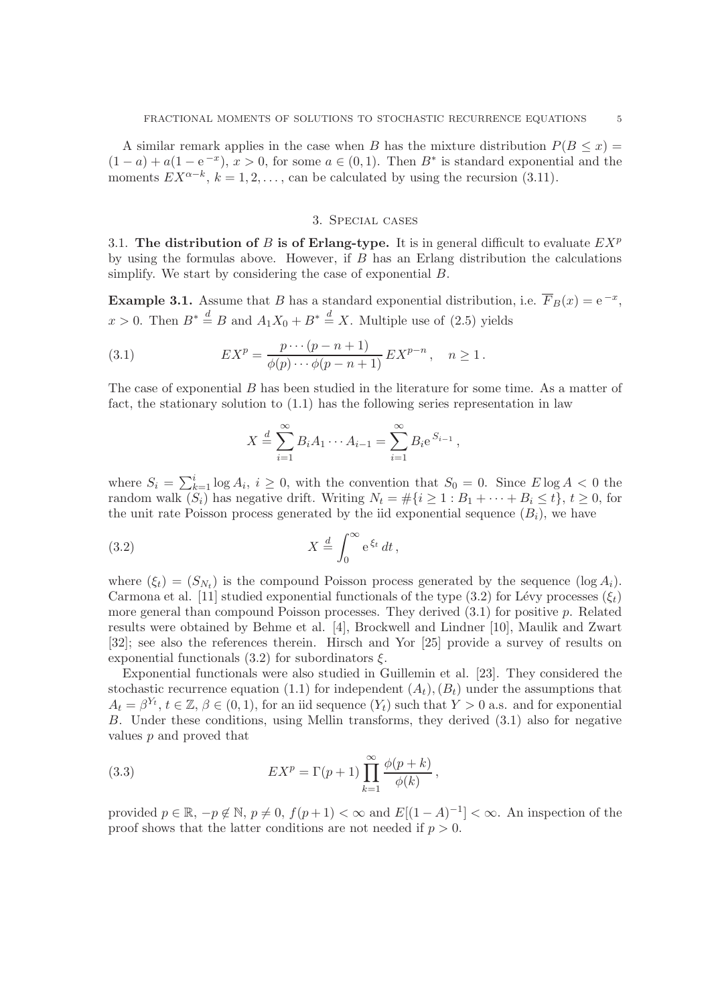A similar remark applies in the case when B has the mixture distribution  $P(B \leq x)$  =  $(1-a) + a(1-e^{-x}), x > 0$ , for some  $a \in (0,1)$ . Then  $B^*$  is standard exponential and the moments  $EX^{\alpha-k}$ ,  $k = 1, 2, ...,$  can be calculated by using the recursion (3.11).

## 3. Special cases

3.1. The distribution of B is of Erlang-type. It is in general difficult to evaluate  $EX^p$ by using the formulas above. However, if  $B$  has an Erlang distribution the calculations simplify. We start by considering the case of exponential B.

**Example 3.1.** Assume that B has a standard exponential distribution, i.e.  $\overline{F}_B(x) = e^{-x}$ ,  $x > 0$ . Then  $B^* \stackrel{d}{=} B$  and  $A_1 X_0 + B^* \stackrel{d}{=} X$ . Multiple use of (2.5) yields

(3.1) 
$$
EX^{p} = \frac{p \cdots (p - n + 1)}{\phi(p) \cdots \phi(p - n + 1)} EX^{p - n}, \quad n \ge 1.
$$

The case of exponential B has been studied in the literature for some time. As a matter of fact, the stationary solution to (1.1) has the following series representation in law

$$
X \stackrel{d}{=} \sum_{i=1}^{\infty} B_i A_1 \cdots A_{i-1} = \sum_{i=1}^{\infty} B_i e^{S_{i-1}},
$$

where  $S_i = \sum_{k=1}^i \log A_i$ ,  $i \geq 0$ , with the convention that  $S_0 = 0$ . Since  $E \log A < 0$  the random walk  $(S_i)$  has negative drift. Writing  $N_t = \#\{i \geq 1 : B_1 + \cdots + B_i \leq t\}, t \geq 0$ , for the unit rate Poisson process generated by the iid exponential sequence  $(B_i)$ , we have

(3.2) 
$$
X \stackrel{d}{=} \int_0^\infty e^{\xi_t} dt,
$$

where  $(\xi_t) = (S_{N_t})$  is the compound Poisson process generated by the sequence  $(\log A_i)$ . Carmona et al. [11] studied exponential functionals of the type (3.2) for Lévy processes ( $\xi_t$ ) more general than compound Poisson processes. They derived  $(3.1)$  for positive p. Related results were obtained by Behme et al. [4], Brockwell and Lindner [10], Maulik and Zwart [32]; see also the references therein. Hirsch and Yor [25] provide a survey of results on exponential functionals  $(3.2)$  for subordinators  $\xi$ .

Exponential functionals were also studied in Guillemin et al. [23]. They considered the stochastic recurrence equation (1.1) for independent  $(A_t), (B_t)$  under the assumptions that  $A_t = \beta^{Y_t}, t \in \mathbb{Z}, \beta \in (0, 1)$ , for an iid sequence  $(Y_t)$  such that  $Y > 0$  a.s. and for exponential B. Under these conditions, using Mellin transforms, they derived (3.1) also for negative values p and proved that

(3.3) 
$$
EX^{p} = \Gamma(p+1) \prod_{k=1}^{\infty} \frac{\phi(p+k)}{\phi(k)},
$$

provided  $p \in \mathbb{R}, -p \notin \mathbb{N}, p \neq 0, f(p+1) < \infty$  and  $E[(1-A)^{-1}] < \infty$ . An inspection of the proof shows that the latter conditions are not needed if  $p > 0$ .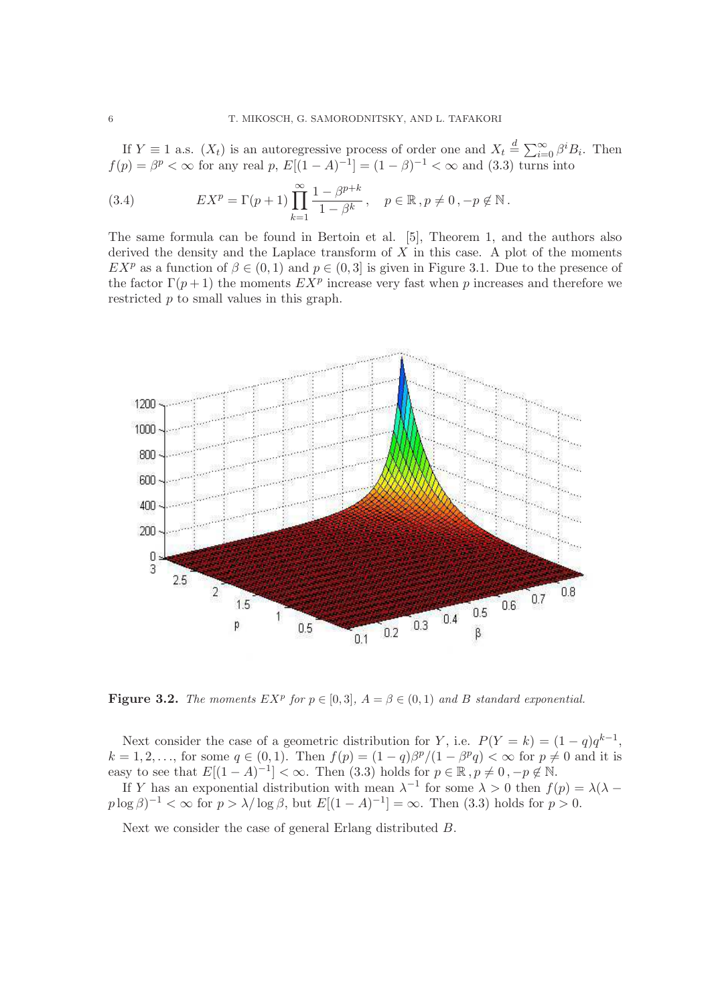If  $Y \equiv 1$  a.s.  $(X_t)$  is an autoregressive process of order one and  $X_t \stackrel{d}{=} \sum_{i=0}^{\infty} \beta^i B_i$ . Then  $f(p) = \beta^p < \infty$  for any real p,  $E[(1-A)^{-1}] = (1-\beta)^{-1} < \infty$  and (3.3) turns into

(3.4) 
$$
EX^{p} = \Gamma(p+1) \prod_{k=1}^{\infty} \frac{1 - \beta^{p+k}}{1 - \beta^{k}}, \quad p \in \mathbb{R}, p \neq 0, -p \notin \mathbb{N}.
$$

The same formula can be found in Bertoin et al. [5], Theorem 1, and the authors also derived the density and the Laplace transform of  $X$  in this case. A plot of the moments  $EX^p$  as a function of  $\beta \in (0,1)$  and  $p \in (0,3]$  is given in Figure 3.1. Due to the presence of the factor  $\Gamma(p+1)$  the moments  $EX^p$  increase very fast when p increases and therefore we restricted p to small values in this graph.



**Figure 3.2.** The moments  $EX^p$  for  $p \in [0,3]$ ,  $A = \beta \in (0,1)$  and B standard exponential.

Next consider the case of a geometric distribution for Y, i.e.  $P(Y = k) = (1 - q)q^{k-1}$ ,  $k = 1, 2, \ldots$ , for some  $q \in (0, 1)$ . Then  $f(p) = (1 - q)\beta^p/(1 - \beta^p q) < \infty$  for  $p \neq 0$  and it is easy to see that  $E[(1-A)^{-1}] < \infty$ . Then (3.3) holds for  $p \in \mathbb{R}$ ,  $p \neq 0$ ,  $-p \notin \mathbb{N}$ .

If Y has an exponential distribution with mean  $\lambda^{-1}$  for some  $\lambda > 0$  then  $f(p) = \lambda(\lambda$  $p \log \beta$ <sup>-1</sup> <  $\infty$  for  $p > \lambda/\log \beta$ , but  $E[(1 - A)^{-1}] = \infty$ . Then (3.3) holds for  $p > 0$ .

Next we consider the case of general Erlang distributed B.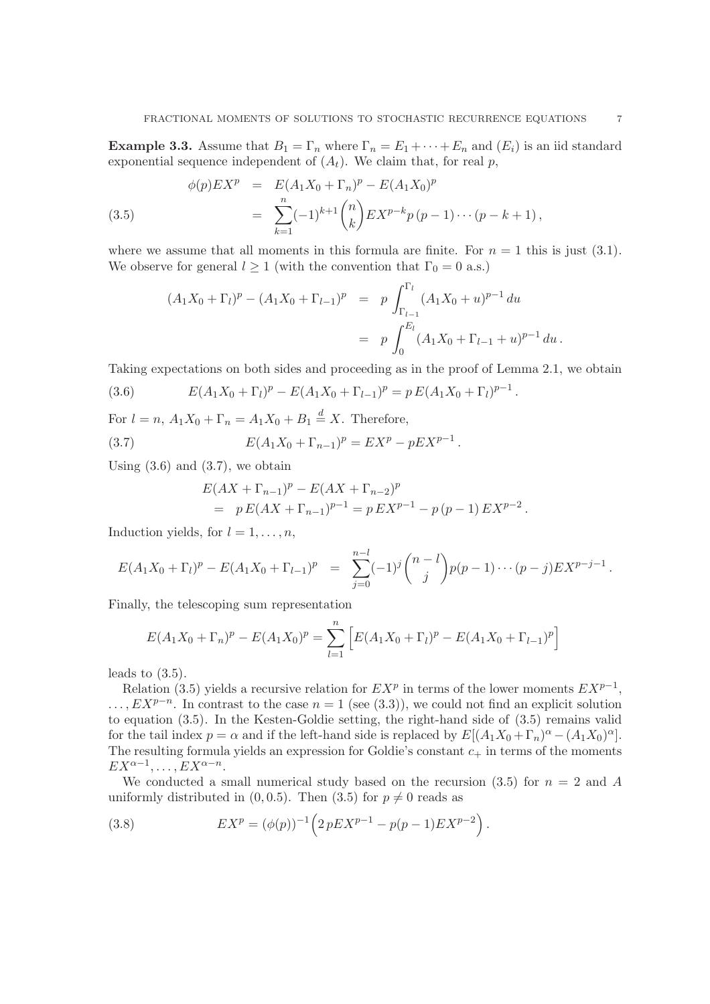**Example 3.3.** Assume that  $B_1 = \Gamma_n$  where  $\Gamma_n = E_1 + \cdots + E_n$  and  $(E_i)$  is an iid standard exponential sequence independent of  $(A_t)$ . We claim that, for real p,

(3.5) 
$$
\phi(p)E X^{p} = E(A_{1}X_{0} + \Gamma_{n})^{p} - E(A_{1}X_{0})^{p}
$$

$$
= \sum_{k=1}^{n} (-1)^{k+1} {n \choose k} E X^{p-k} p (p-1) \cdots (p-k+1),
$$

where we assume that all moments in this formula are finite. For  $n = 1$  this is just (3.1). We observe for general  $l \geq 1$  (with the convention that  $\Gamma_0 = 0$  a.s.)

$$
(A_1X_0 + \Gamma_l)^p - (A_1X_0 + \Gamma_{l-1})^p = p \int_{\Gamma_{l-1}}^{\Gamma_l} (A_1X_0 + u)^{p-1} du
$$
  
=  $p \int_0^{E_l} (A_1X_0 + \Gamma_{l-1} + u)^{p-1} du.$ 

Taking expectations on both sides and proceeding as in the proof of Lemma 2.1, we obtain

(3.6) 
$$
E(A_1X_0+\Gamma_l)^p - E(A_1X_0+\Gamma_{l-1})^p = p E(A_1X_0+\Gamma_l)^{p-1}.
$$

For  $l = n$ ,  $A_1 X_0 + \Gamma_n = A_1 X_0 + B_1 \stackrel{d}{=} X$ . Therefore,

(3.7) 
$$
E(A_1X_0 + \Gamma_{n-1})^p = EX^p - pEX^{p-1}.
$$

Using  $(3.6)$  and  $(3.7)$ , we obtain

$$
E(AX + \Gamma_{n-1})^p - E(AX + \Gamma_{n-2})^p
$$
  
=  $p E(AX + \Gamma_{n-1})^{p-1} = p EX^{p-1} - p(p-1) EX^{p-2}$ .

Induction yields, for  $l = 1, \ldots, n$ ,

$$
E(A_1X_0+\Gamma_l)^p-E(A_1X_0+\Gamma_{l-1})^p = \sum_{j=0}^{n-l} (-1)^j \binom{n-l}{j} p(p-1)\cdots(p-j) E X^{p-j-1}.
$$

Finally, the telescoping sum representation

$$
E(A_1X_0 + \Gamma_n)^p - E(A_1X_0)^p = \sum_{l=1}^n \left[ E(A_1X_0 + \Gamma_l)^p - E(A_1X_0 + \Gamma_{l-1})^p \right]
$$

leads to  $(3.5)$ .

Relation (3.5) yields a recursive relation for  $EX^p$  in terms of the lower moments  $EX^{p-1}$ ,  $\ldots, E X^{p-n}$ . In contrast to the case  $n = 1$  (see (3.3)), we could not find an explicit solution to equation (3.5). In the Kesten-Goldie setting, the right-hand side of (3.5) remains valid for the tail index  $p = \alpha$  and if the left-hand side is replaced by  $E[(A_1X_0 + \Gamma_n)^{\alpha} - (A_1X_0)^{\alpha}]$ . The resulting formula yields an expression for Goldie's constant  $c_{+}$  in terms of the moments  $EX^{\alpha-1},\ldots, EX^{\alpha-n}.$ 

We conducted a small numerical study based on the recursion (3.5) for  $n = 2$  and A uniformly distributed in  $(0, 0.5)$ . Then  $(3.5)$  for  $p \neq 0$  reads as

(3.8) 
$$
EX^{p} = (\phi(p))^{-1} \left( 2 p EX^{p-1} - p(p-1) EX^{p-2} \right).
$$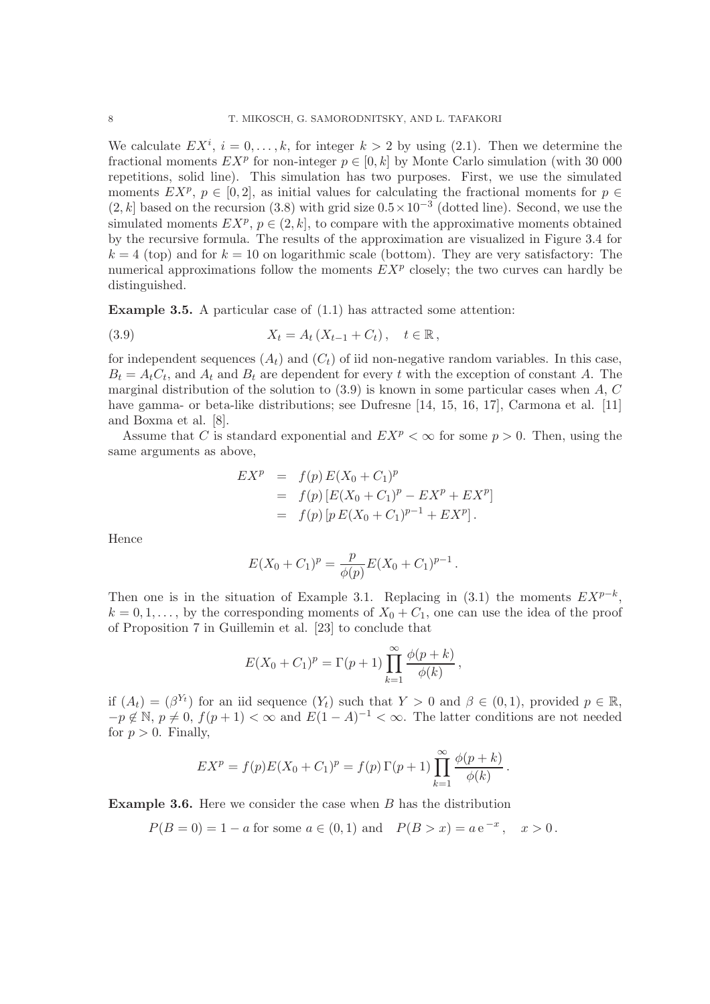We calculate  $EX^{i}$ ,  $i = 0, \ldots, k$ , for integer  $k > 2$  by using (2.1). Then we determine the fractional moments  $EX^p$  for non-integer  $p \in [0, k]$  by Monte Carlo simulation (with 30 000 repetitions, solid line). This simulation has two purposes. First, we use the simulated moments  $EX^p$ ,  $p \in [0,2]$ , as initial values for calculating the fractional moments for  $p \in$  $(2, k]$  based on the recursion  $(3.8)$  with grid size  $0.5 \times 10^{-3}$  (dotted line). Second, we use the simulated moments  $EX^p$ ,  $p \in (2, k]$ , to compare with the approximative moments obtained by the recursive formula. The results of the approximation are visualized in Figure 3.4 for  $k = 4$  (top) and for  $k = 10$  on logarithmic scale (bottom). They are very satisfactory: The numerical approximations follow the moments  $EX^p$  closely; the two curves can hardly be distinguished.

**Example 3.5.** A particular case of  $(1.1)$  has attracted some attention:

(3.9) 
$$
X_t = A_t (X_{t-1} + C_t), \quad t \in \mathbb{R},
$$

for independent sequences  $(A_t)$  and  $(C_t)$  of iid non-negative random variables. In this case,  $B_t = A_t C_t$ , and  $A_t$  and  $B_t$  are dependent for every t with the exception of constant A. The marginal distribution of the solution to  $(3.9)$  is known in some particular cases when A, C have gamma- or beta-like distributions; see Dufresne [14, 15, 16, 17], Carmona et al. [11] and Boxma et al. [8].

Assume that C is standard exponential and  $EX^p < \infty$  for some  $p > 0$ . Then, using the same arguments as above,

$$
EXp = f(p) E(X0 + C1)p
$$
  
= f(p) [E(X<sub>0</sub> + C<sub>1</sub>)<sup>p</sup> - EX<sup>p</sup> + EX<sup>p</sup>]  
= f(p) [p E(X<sub>0</sub> + C<sub>1</sub>)<sup>p-1</sup> + EX<sup>p</sup>].

Hence

$$
E(X_0 + C_1)^p = \frac{p}{\phi(p)} E(X_0 + C_1)^{p-1}.
$$

Then one is in the situation of Example 3.1. Replacing in  $(3.1)$  the moments  $EX^{p-k}$ ,  $k = 0, 1, \ldots$ , by the corresponding moments of  $X_0 + C_1$ , one can use the idea of the proof of Proposition 7 in Guillemin et al. [23] to conclude that

$$
E(X_0 + C_1)^p = \Gamma(p+1) \prod_{k=1}^{\infty} \frac{\phi(p+k)}{\phi(k)},
$$

if  $(A_t) = (\beta^{Y_t})$  for an iid sequence  $(Y_t)$  such that  $Y > 0$  and  $\beta \in (0,1)$ , provided  $p \in \mathbb{R}$ ,  $-p \notin \mathbb{N}, p \neq 0, f(p+1) < \infty$  and  $E(1-A)^{-1} < \infty$ . The latter conditions are not needed for  $p > 0$ . Finally,

$$
EX^{p} = f(p)E(X_{0} + C_{1})^{p} = f(p)\Gamma(p+1)\prod_{k=1}^{\infty} \frac{\phi(p+k)}{\phi(k)}.
$$

Example 3.6. Here we consider the case when B has the distribution

$$
P(B = 0) = 1 - a
$$
 for some  $a \in (0, 1)$  and  $P(B > x) = a e^{-x}$ ,  $x > 0$ .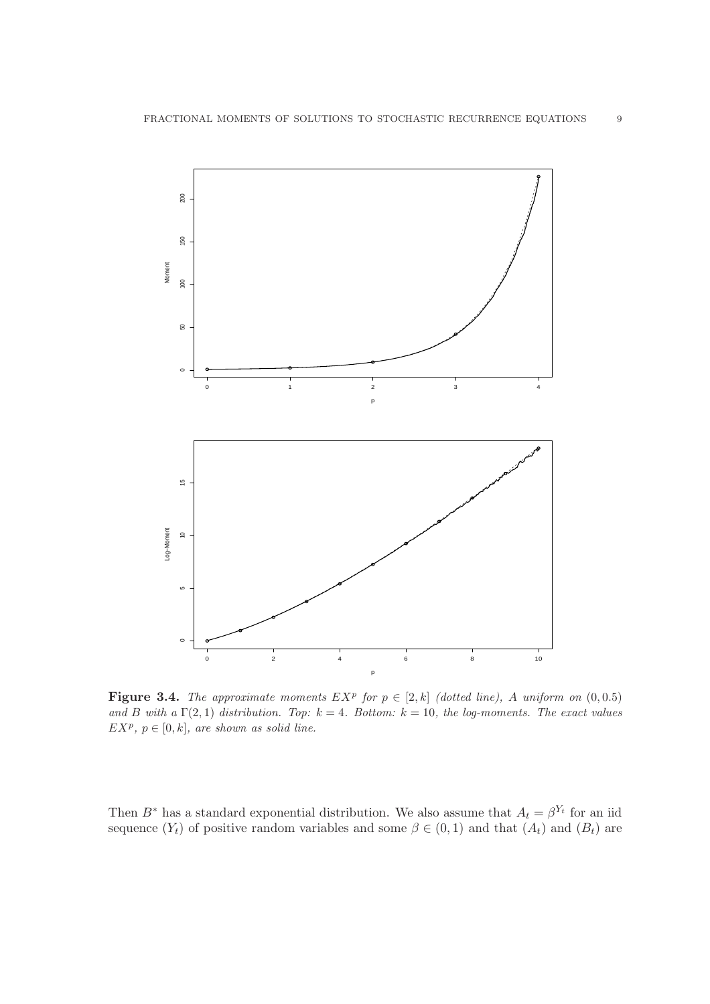

**Figure 3.4.** The approximate moments  $EX^p$  for  $p \in [2, k]$  (dotted line), A uniform on  $(0, 0.5)$ *and* B with a  $\Gamma(2,1)$  distribution. Top:  $k = 4$ . Bottom:  $k = 10$ , the log-moments. The exact values  $EX^p, p \in [0, k],$  are shown as solid line.

Then  $B^*$  has a standard exponential distribution. We also assume that  $A_t = \beta^{Y_t}$  for an iid sequence  $(Y_t)$  of positive random variables and some  $\beta \in (0,1)$  and that  $(A_t)$  and  $(B_t)$  are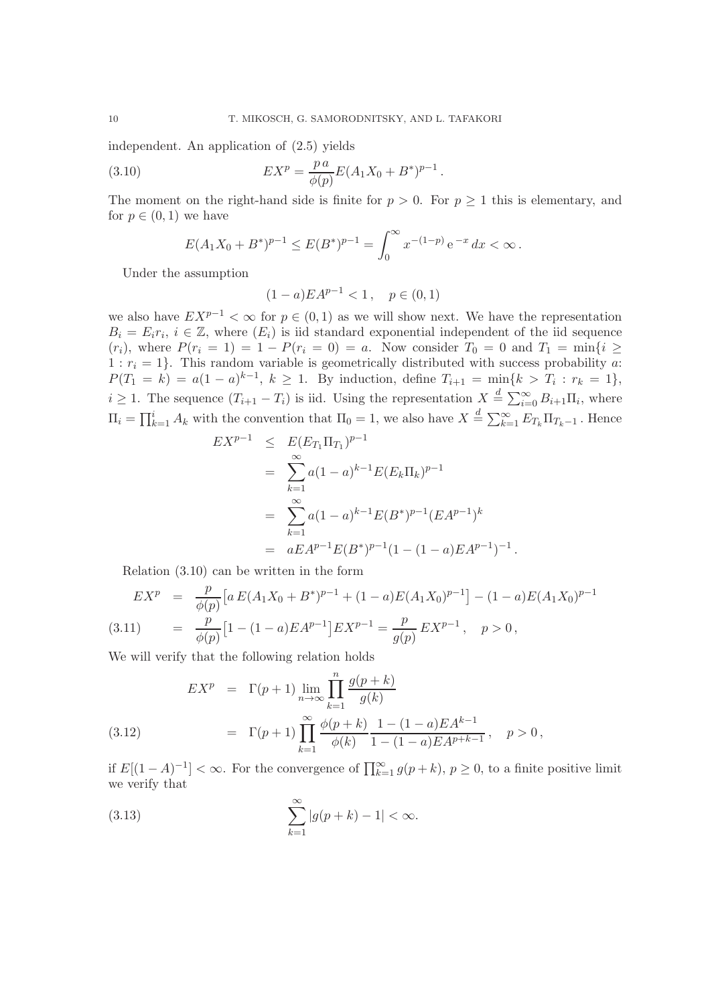independent. An application of (2.5) yields

(3.10) 
$$
EX^{p} = \frac{p a}{\phi(p)} E(A_1 X_0 + B^*)^{p-1}.
$$

The moment on the right-hand side is finite for  $p > 0$ . For  $p \ge 1$  this is elementary, and for  $p \in (0,1)$  we have

$$
E(A_1X_0 + B^*)^{p-1} \le E(B^*)^{p-1} = \int_0^\infty x^{-(1-p)} e^{-x} dx < \infty.
$$

Under the assumption

$$
(1-a)EA^{p-1} < 1, \quad p \in (0,1)
$$

we also have  $EX^{p-1} < \infty$  for  $p \in (0,1)$  as we will show next. We have the representation  $B_i = E_i r_i, i \in \mathbb{Z}$ , where  $(E_i)$  is iid standard exponential independent of the iid sequence  $(r_i)$ , where  $P(r_i = 1) = 1 - P(r_i = 0) = a$ . Now consider  $T_0 = 0$  and  $T_1 = \min\{i \geq 1\}$  $1 : r_i = 1$ . This random variable is geometrically distributed with success probability a:  $P(T_1 = k) = a(1 - a)^{k-1}, k \ge 1$ . By induction, define  $T_{i+1} = \min\{k > T_i : r_k = 1\},$  $i \geq 1$ . The sequence  $(T_{i+1} - T_i)$  is iid. Using the representation  $X \stackrel{d}{=} \sum_{i=0}^{\infty} B_{i+1} \Pi_i$ , where  $\Pi_i = \prod_{k=1}^i A_k$  with the convention that  $\Pi_0 = 1$ , we also have  $X \stackrel{d}{=} \sum_{k=1}^{\infty} E_{T_k} \Pi_{T_k-1}$ . Hence

$$
EX^{p-1} \leq E(E_{T_1} \Pi_{T_1})^{p-1}
$$
  
= 
$$
\sum_{k=1}^{\infty} a(1-a)^{k-1} E(E_k \Pi_k)^{p-1}
$$
  
= 
$$
\sum_{k=1}^{\infty} a(1-a)^{k-1} E(B^*)^{p-1} (EA^{p-1})^k
$$
  
= 
$$
aEA^{p-1} E(B^*)^{p-1} (1 - (1-a)EA^{p-1})^{-1}.
$$

Relation (3.10) can be written in the form

$$
EX^{p} = \frac{p}{\phi(p)} \left[ a E(A_{1}X_{0} + B^{*})^{p-1} + (1 - a)E(A_{1}X_{0})^{p-1} \right] - (1 - a)E(A_{1}X_{0})^{p-1}
$$
  
(3.11) 
$$
= \frac{p}{\phi(p)} \left[ 1 - (1 - a)E A^{p-1} \right] EX^{p-1} = \frac{p}{g(p)} EX^{p-1}, \quad p > 0,
$$

We will verify that the following relation holds

(3.12) 
$$
EX^{p} = \Gamma(p+1) \lim_{n \to \infty} \prod_{k=1}^{n} \frac{g(p+k)}{g(k)}
$$

$$
= \Gamma(p+1) \prod_{k=1}^{\infty} \frac{\phi(p+k)}{\phi(k)} \frac{1 - (1-a)EA^{k-1}}{1 - (1-a)EA^{p+k-1}}, \quad p > 0,
$$

if  $E[(1-A)^{-1}] < \infty$ . For the convergence of  $\prod_{k=1}^{\infty} g(p+k)$ ,  $p ≥ 0$ , to a finite positive limit we verify that

(3.13) 
$$
\sum_{k=1}^{\infty} |g(p+k) - 1| < \infty.
$$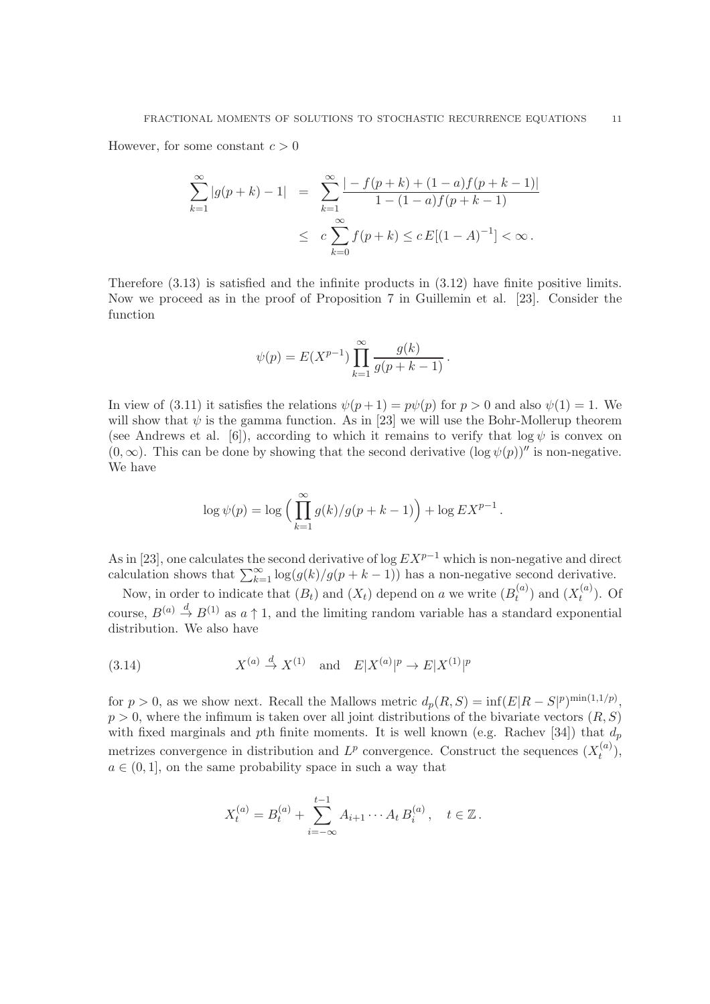However, for some constant  $c > 0$ 

$$
\sum_{k=1}^{\infty} |g(p+k) - 1| = \sum_{k=1}^{\infty} \frac{|-f(p+k) + (1-a)f(p+k-1)|}{1 - (1-a)f(p+k-1)}
$$
  

$$
\leq c \sum_{k=0}^{\infty} f(p+k) \leq c E[(1-A)^{-1}] < \infty.
$$

Therefore (3.13) is satisfied and the infinite products in (3.12) have finite positive limits. Now we proceed as in the proof of Proposition 7 in Guillemin et al. [23]. Consider the function

$$
\psi(p) = E(X^{p-1}) \prod_{k=1}^{\infty} \frac{g(k)}{g(p+k-1)}.
$$

In view of (3.11) it satisfies the relations  $\psi(p+1) = p\psi(p)$  for  $p > 0$  and also  $\psi(1) = 1$ . We will show that  $\psi$  is the gamma function. As in [23] we will use the Bohr-Mollerup theorem (see Andrews et al. [6]), according to which it remains to verify that  $\log \psi$  is convex on  $(0, \infty)$ . This can be done by showing that the second derivative  $(\log \psi(p))^{\prime\prime}$  is non-negative. We have

$$
\log \psi(p) = \log \left( \prod_{k=1}^{\infty} g(k)/g(p+k-1) \right) + \log EX^{p-1}.
$$

As in [23], one calculates the second derivative of log  $EX^{p-1}$  which is non-negative and direct calculation shows that  $\sum_{k=1}^{\infty} \log(g(k)/g(p+k-1))$  has a non-negative second derivative.

Now, in order to indicate that  $(B_t)$  and  $(X_t)$  depend on a we write  $(B_t^{(a)})$  $t^{(a)}$ ) and  $(X_t^{(a)}$  $t^{(u)}$ ). Of course,  $B^{(a)} \stackrel{d}{\rightarrow} B^{(1)}$  as  $a \uparrow 1$ , and the limiting random variable has a standard exponential distribution. We also have

(3.14) 
$$
X^{(a)} \stackrel{d}{\rightarrow} X^{(1)} \quad \text{and} \quad E|X^{(a)}|^p \rightarrow E|X^{(1)}|^p
$$

for  $p > 0$ , as we show next. Recall the Mallows metric  $d_p(R, S) = \inf(E|R - S|^p)^{\min(1, 1/p)}$ ,  $p > 0$ , where the infimum is taken over all joint distributions of the bivariate vectors  $(R, S)$ with fixed marginals and pth finite moments. It is well known (e.g. Rachev [34]) that  $d_p$ metrizes convergence in distribution and  $L^p$  convergence. Construct the sequences  $(X_t^{(a)})$  $\binom{u}{t},$  $a \in (0, 1]$ , on the same probability space in such a way that

$$
X_t^{(a)} = B_t^{(a)} + \sum_{i=-\infty}^{t-1} A_{i+1} \cdots A_t B_i^{(a)}, \quad t \in \mathbb{Z}.
$$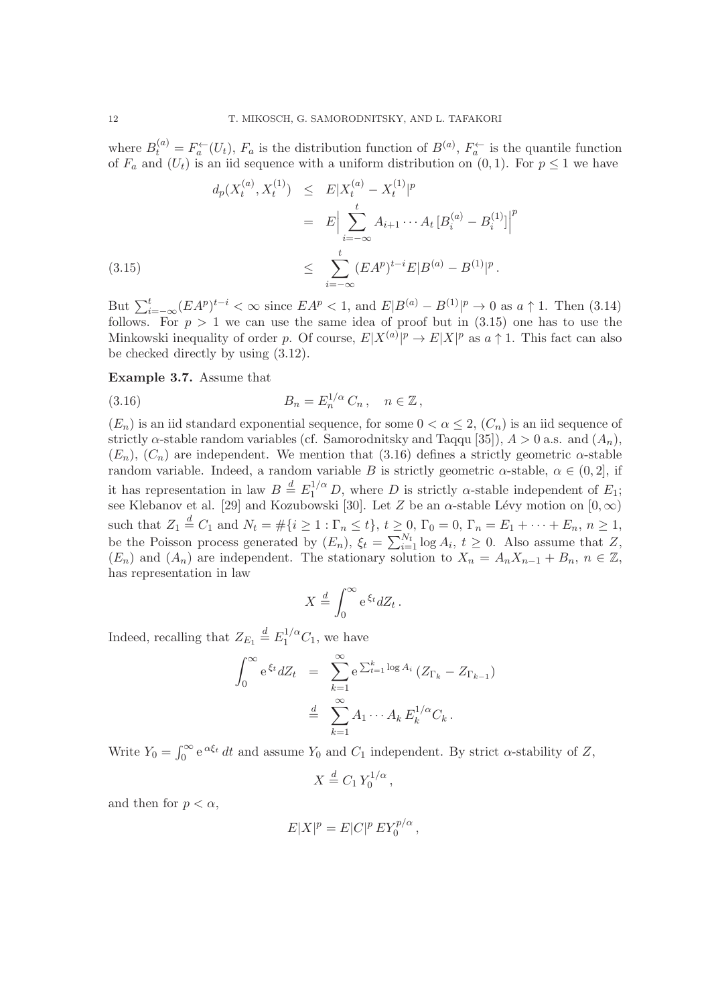where  $B_t^{(a)} = F_a^{\leftarrow}(U_t)$ ,  $F_a$  is the distribution function of  $B^{(a)}$ ,  $F_a^{\leftarrow}$  is the quantile function of  $F_a$  and  $(U_t)$  is an iid sequence with a uniform distribution on  $(0, 1)$ . For  $p \leq 1$  we have

$$
d_p(X_t^{(a)}, X_t^{(1)}) \leq E|X_t^{(a)} - X_t^{(1)}|^p
$$
  
= 
$$
E\Big|\sum_{i=-\infty}^t A_{i+1} \cdots A_t [B_i^{(a)} - B_i^{(1)}]\Big|^p
$$
  
(3.15)  

$$
\leq \sum_{i=-\infty}^t (EA^p)^{t-i} E|B^{(a)} - B^{(1)}|^p.
$$

But  $\sum_{i=-\infty}^{t} (EA^p)^{t-i} < \infty$  since  $EA^p < 1$ , and  $E|B^{(a)} - B^{(1)}|^p \to 0$  as  $a \uparrow 1$ . Then (3.14) follows. For  $p > 1$  we can use the same idea of proof but in  $(3.15)$  one has to use the Minkowski inequality of order p. Of course,  $E|X^{(a)}|^p \to E|X|^p$  as  $a \uparrow 1$ . This fact can also be checked directly by using (3.12).

## Example 3.7. Assume that

(3.16) 
$$
B_n = E_n^{1/\alpha} C_n, \quad n \in \mathbb{Z},
$$

 $(E_n)$  is an iid standard exponential sequence, for some  $0 < \alpha \leq 2$ ,  $(C_n)$  is an iid sequence of strictly  $\alpha$ -stable random variables (cf. Samorodnitsky and Taqqu [35]),  $A > 0$  a.s. and  $(A_n)$ ,  $(E_n)$ ,  $(C_n)$  are independent. We mention that (3.16) defines a strictly geometric  $\alpha$ -stable random variable. Indeed, a random variable B is strictly geometric  $\alpha$ -stable,  $\alpha \in (0,2]$ , if it has representation in law  $B \stackrel{d}{=} E_1^{1/\alpha} D$ , where D is strictly  $\alpha$ -stable independent of  $E_1$ ; see Klebanov et al. [29] and Kozubowski [30]. Let Z be an  $\alpha$ -stable Lévy motion on  $[0,\infty)$ such that  $Z_1 \stackrel{d}{=} C_1$  and  $N_t = \#\{i \geq 1 : \Gamma_n \leq t\}, t \geq 0, \Gamma_0 = 0, \Gamma_n = E_1 + \cdots + E_n, n \geq 1,$ be the Poisson process generated by  $(E_n)$ ,  $\xi_t = \sum_{i=1}^{N_t} \log A_i$ ,  $t \geq 0$ . Also assume that Z,  $(E_n)$  and  $(A_n)$  are independent. The stationary solution to  $X_n = A_n X_{n-1} + B_n$ ,  $n \in \mathbb{Z}$ , has representation in law

$$
X \stackrel{d}{=} \int_0^\infty e^{\xi_t} dZ_t.
$$

Indeed, recalling that  $Z_{E_1} \stackrel{d}{=} E_1^{1/\alpha} C_1$ , we have

$$
\int_0^\infty e^{\xi_t} dZ_t = \sum_{k=1}^\infty e^{\sum_{t=1}^k \log A_i} (Z_{\Gamma_k} - Z_{\Gamma_{k-1}})
$$
  

$$
\stackrel{d}{=} \sum_{k=1}^\infty A_1 \cdots A_k E_k^{1/\alpha} C_k.
$$

Write  $Y_0 = \int_0^\infty e^{\alpha \xi_t} dt$  and assume  $Y_0$  and  $C_1$  independent. By strict  $\alpha$ -stability of Z,

$$
X \stackrel{d}{=} C_1 Y_0^{1/\alpha},
$$

and then for  $p < \alpha$ ,

$$
E|X|^p = E|C|^p E Y_0^{p/\alpha},
$$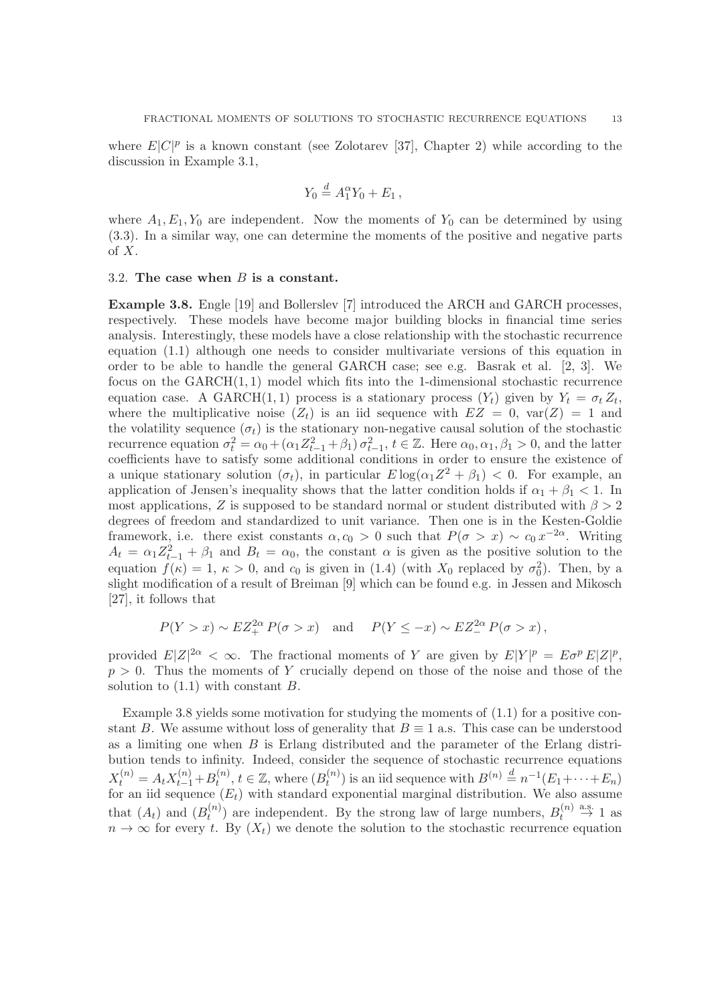where  $E|C|^p$  is a known constant (see Zolotarev [37], Chapter 2) while according to the discussion in Example 3.1,

$$
Y_0 \stackrel{d}{=} A_1^{\alpha} Y_0 + E_1 \,,
$$

where  $A_1, E_1, Y_0$  are independent. Now the moments of  $Y_0$  can be determined by using (3.3). In a similar way, one can determine the moments of the positive and negative parts of  $X$ .

#### 3.2. The case when  $B$  is a constant.

Example 3.8. Engle [19] and Bollerslev [7] introduced the ARCH and GARCH processes, respectively. These models have become major building blocks in financial time series analysis. Interestingly, these models have a close relationship with the stochastic recurrence equation (1.1) although one needs to consider multivariate versions of this equation in order to be able to handle the general GARCH case; see e.g. Basrak et al. [2, 3]. We focus on the  $GARCH(1, 1)$  model which fits into the 1-dimensional stochastic recurrence equation case. A GARCH $(1,1)$  process is a stationary process  $(Y_t)$  given by  $Y_t = \sigma_t Z_t$ , where the multiplicative noise  $(Z_t)$  is an iid sequence with  $EZ = 0$ ,  $var(Z) = 1$  and the volatility sequence  $(\sigma_t)$  is the stationary non-negative causal solution of the stochastic recurrence equation  $\sigma_t^2 = \alpha_0 + (\alpha_1 Z_{t-1}^2 + \beta_1) \sigma_{t-1}^2$ ,  $t \in \mathbb{Z}$ . Here  $\alpha_0, \alpha_1, \beta_1 > 0$ , and the latter coefficients have to satisfy some additional conditions in order to ensure the existence of a unique stationary solution  $(\sigma_t)$ , in particular  $E \log(\alpha_1 Z^2 + \beta_1) < 0$ . For example, an application of Jensen's inequality shows that the latter condition holds if  $\alpha_1 + \beta_1 < 1$ . In most applications, Z is supposed to be standard normal or student distributed with  $\beta > 2$ degrees of freedom and standardized to unit variance. Then one is in the Kesten-Goldie framework, i.e. there exist constants  $\alpha, c_0 > 0$  such that  $P(\sigma > x) \sim c_0 x^{-2\alpha}$ . Writing  $A_t = \alpha_1 Z_{t-1}^2 + \beta_1$  and  $B_t = \alpha_0$ , the constant  $\alpha$  is given as the positive solution to the equation  $f(\kappa) = 1, \kappa > 0$ , and  $c_0$  is given in (1.4) (with  $X_0$  replaced by  $\sigma_0^2$ ). Then, by a slight modification of a result of Breiman [9] which can be found e.g. in Jessen and Mikosch [27], it follows that

$$
P(Y > x) \sim EZ^{2\alpha}_+ P(\sigma > x)
$$
 and  $P(Y \le -x) \sim EZ^{2\alpha}_- P(\sigma > x)$ ,

provided  $E|Z|^{2\alpha} < \infty$ . The fractional moments of Y are given by  $E|Y|^p = E\sigma^p E|Z|^p$ ,  $p > 0$ . Thus the moments of Y crucially depend on those of the noise and those of the solution to (1.1) with constant B.

Example 3.8 yields some motivation for studying the moments of (1.1) for a positive constant B. We assume without loss of generality that  $B \equiv 1$  a.s. This case can be understood as a limiting one when  $B$  is Erlang distributed and the parameter of the Erlang distribution tends to infinity. Indeed, consider the sequence of stochastic recurrence equations  $X_t^{(n)} = A_t X_{t-1}^{(n)} + B_t^{(n)}$  $t_t^{(n)}, t \in \mathbb{Z}$ , where  $(B_t^{(n)}$  $t^{(n)}$ ) is an iid sequence with  $B^{(n)} \stackrel{d}{=} n^{-1}(E_1 + \cdots + E_n)$ for an iid sequence  $(E_t)$  with standard exponential marginal distribution. We also assume that  $(A_t)$  and  $(B_t^{(n)})$  $t_t^{(n)}$ ) are independent. By the strong law of large numbers,  $B_t^{(n)}$  $\mathbf{a}^{(n)} \stackrel{\text{a.s.}}{\rightarrow} 1$  as  $n \to \infty$  for every t. By  $(X_t)$  we denote the solution to the stochastic recurrence equation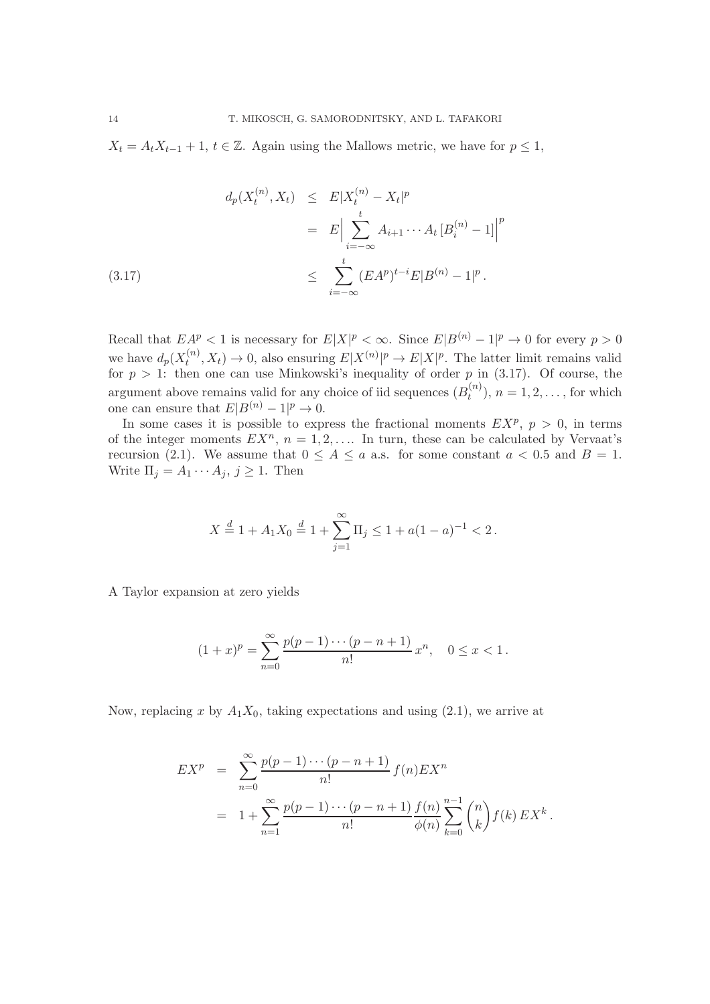$X_t = A_t X_{t-1} + 1$ ,  $t \in \mathbb{Z}$ . Again using the Mallows metric, we have for  $p \leq 1$ ,

$$
d_p(X_t^{(n)}, X_t) \leq E|X_t^{(n)} - X_t|^p
$$
  
=  $E \Big| \sum_{i=-\infty}^t A_{i+1} \cdots A_t [B_i^{(n)} - 1] \Big|^p$   
(3.17)  
 $\leq \sum_{i=-\infty}^t (EA^p)^{t-i} E|B^{(n)} - 1|^p.$ 

Recall that  $EA^p < 1$  is necessary for  $E|X|^p < \infty$ . Since  $E|B^{(n)} - 1|^p \to 0$  for every  $p > 0$ we have  $d_p(X_t^{(n)})$  $t^{(n)}(X_t) \to 0$ , also ensuring  $E|X^{(n)}|^p \to E|X|^p$ . The latter limit remains valid for  $p > 1$ : then one can use Minkowski's inequality of order p in (3.17). Of course, the argument above remains valid for any choice of iid sequences  $(B_t^{(n)})$  $t^{(n)}(n)$ ,  $n = 1, 2, \ldots$ , for which one can ensure that  $E|B^{(n)}-1|^p \to 0$ .

In some cases it is possible to express the fractional moments  $EX^p$ ,  $p > 0$ , in terms of the integer moments  $EX^n$ ,  $n = 1, 2, \ldots$  In turn, these can be calculated by Vervaat's recursion (2.1). We assume that  $0 \le A \le a$  a.s. for some constant  $a < 0.5$  and  $B = 1$ . Write  $\Pi_j = A_1 \cdots A_j, j \geq 1$ . Then

$$
X \stackrel{d}{=} 1 + A_1 X_0 \stackrel{d}{=} 1 + \sum_{j=1}^{\infty} \Pi_j \le 1 + a(1 - a)^{-1} < 2.
$$

A Taylor expansion at zero yields

$$
(1+x)^p = \sum_{n=0}^{\infty} \frac{p(p-1)\cdots(p-n+1)}{n!} x^n, \quad 0 \le x < 1.
$$

Now, replacing x by  $A_1X_0$ , taking expectations and using (2.1), we arrive at

$$
EX^{p} = \sum_{n=0}^{\infty} \frac{p(p-1)\cdots(p-n+1)}{n!} f(n) EX^{n}
$$
  
=  $1 + \sum_{n=1}^{\infty} \frac{p(p-1)\cdots(p-n+1)}{n!} \frac{f(n)}{\phi(n)} \sum_{k=0}^{n-1} {n \choose k} f(k) EX^{k}$ .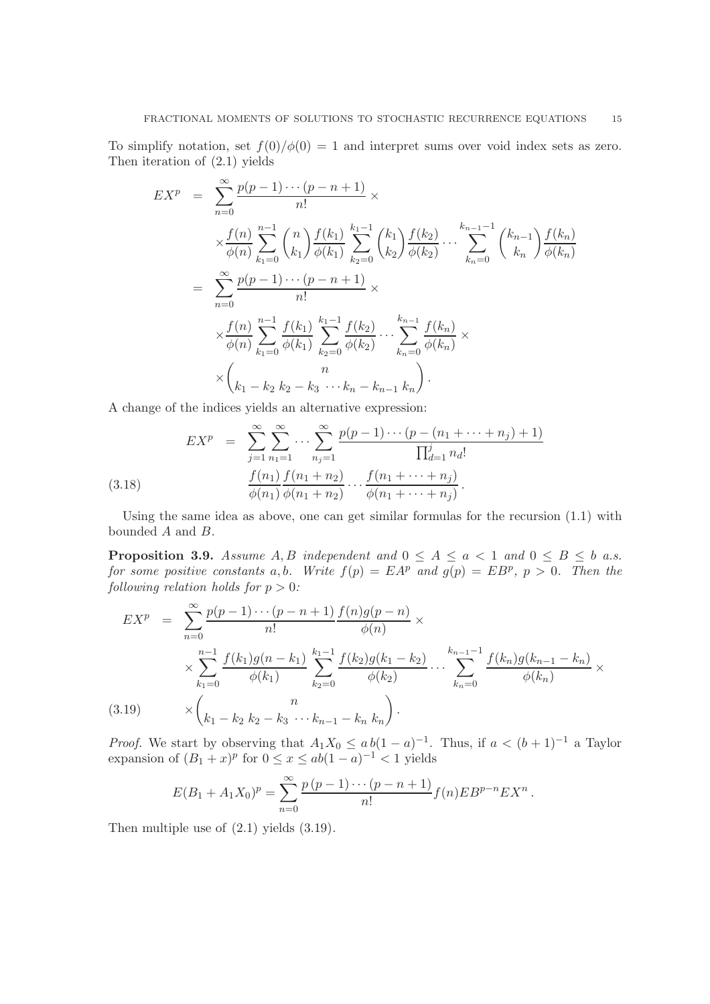To simplify notation, set  $f(0)/\phi(0) = 1$  and interpret sums over void index sets as zero. Then iteration of (2.1) yields

$$
EX^{p} = \sum_{n=0}^{\infty} \frac{p(p-1)\cdots(p-n+1)}{n!} \times
$$
  
\n
$$
\times \frac{f(n)}{\phi(n)} \sum_{k_1=0}^{n-1} {n \choose k_1} \frac{f(k_1)}{\phi(k_1)} \sum_{k_2=0}^{k_1-1} {k_1 \choose k_2} \frac{f(k_2)}{\phi(k_2)} \cdots \sum_{k_n=0}^{k_{n-1}-1} {k_{n-1} \choose k_n} \frac{f(k_n)}{\phi(k_n)}
$$
  
\n
$$
= \sum_{n=0}^{\infty} \frac{p(p-1)\cdots(p-n+1)}{n!} \times
$$
  
\n
$$
\times \frac{f(n)}{\phi(n)} \sum_{k_1=0}^{n-1} \frac{f(k_1)}{\phi(k_1)} \sum_{k_2=0}^{k_1-1} \frac{f(k_2)}{\phi(k_2)} \cdots \sum_{k_n=0}^{k_{n-1}} \frac{f(k_n)}{\phi(k_n)} \times
$$
  
\n
$$
\times {n \choose k_1 - k_2} \sum_{k_2=0}^{n} \frac{f(k_1)}{\phi(k_2)} \cdots \sum_{k_n=0}^{k_{n-1}} \frac{f(k_n)}{\phi(k_n)} \times
$$

A change of the indices yields an alternative expression:

(3.18) 
$$
EX^{p} = \sum_{j=1}^{\infty} \sum_{n_{1}=1}^{\infty} \cdots \sum_{n_{j}=1}^{\infty} \frac{p(p-1)\cdots(p-(n_{1}+\cdots+n_{j})+1)}{\prod_{d=1}^{j} n_{d}!}
$$

$$
\frac{f(n_{1})}{\phi(n_{1})} \frac{f(n_{1}+n_{2})}{\phi(n_{1}+n_{2})} \cdots \frac{f(n_{1}+\cdots+n_{j})}{\phi(n_{1}+\cdots+n_{j})}.
$$

Using the same idea as above, one can get similar formulas for the recursion (1.1) with bounded A and B.

**Proposition 3.9.** *Assume*  $A, B$  *independent and*  $0 \leq A \leq a < 1$  *and*  $0 \leq B \leq b$  *a.s. for some positive constants*  $a, b$ . Write  $f(p) = E A^p$  and  $g(p) = E B^p$ ,  $p > 0$ . Then the *following relation holds for*  $p > 0$ *:* 

$$
EX^{p} = \sum_{n=0}^{\infty} \frac{p(p-1)\cdots(p-n+1)}{n!} \frac{f(n)g(p-n)}{\phi(n)} \times \sum_{k_{1}=0}^{n-1} \frac{f(k_{1})g(n-k_{1})}{\phi(k_{1})} \sum_{k_{2}=0}^{k_{1}-1} \frac{f(k_{2})g(k_{1}-k_{2})}{\phi(k_{2})} \cdots \sum_{k_{n}=0}^{k_{n-1}-1} \frac{f(k_{n})g(k_{n-1}-k_{n})}{\phi(k_{n})} \times \binom{n}{k_{1}-k_{2}k_{2}-k_{3}\cdots k_{n-1}-k_{n}k_{n}}.
$$
\n(3.19)

*Proof.* We start by observing that  $A_1X_0 \leq ab(1-a)^{-1}$ . Thus, if  $a < (b+1)^{-1}$  a Taylor expansion of  $(B_1 + x)^p$  for  $0 \le x \le ab(1 - a)^{-1} < 1$  yields

$$
E(B_1 + A_1 X_0)^p = \sum_{n=0}^{\infty} \frac{p(p-1)\cdots(p-n+1)}{n!} f(n) E B^{p-n} E X^n.
$$

Then multiple use of (2.1) yields (3.19).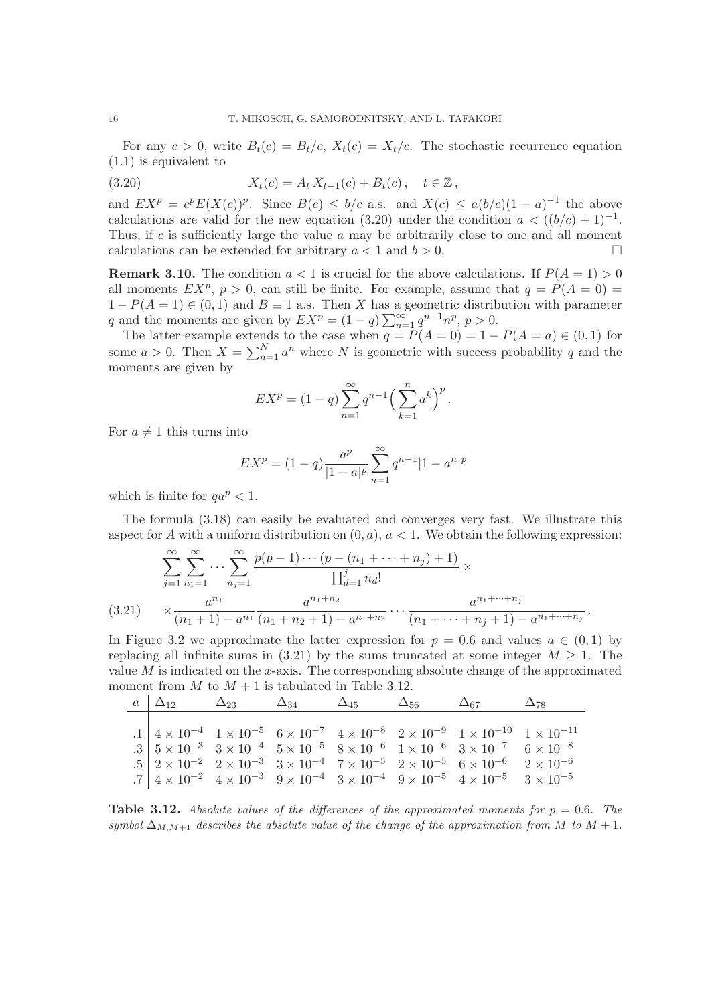For any  $c > 0$ , write  $B_t(c) = B_t/c$ ,  $X_t(c) = X_t/c$ . The stochastic recurrence equation (1.1) is equivalent to

(3.20)  $X_t(c) = A_t X_{t-1}(c) + B_t(c), \quad t \in \mathbb{Z}$ ,

and  $EX^p = c^p E(X(c))^p$ . Since  $B(c) \leq b/c$  a.s. and  $X(c) \leq a(b/c)(1-a)^{-1}$  the above calculations are valid for the new equation (3.20) under the condition  $a < ((b/c) + 1)^{-1}$ . Thus, if  $c$  is sufficiently large the value  $a$  may be arbitrarily close to one and all moment calculations can be extended for arbitrary  $a < 1$  and  $b > 0$ .

**Remark 3.10.** The condition  $a < 1$  is crucial for the above calculations. If  $P(A = 1) > 0$ all moments  $EX^p$ ,  $p > 0$ , can still be finite. For example, assume that  $q = P(A = 0)$  $1 - P(A = 1) \in (0, 1)$  and  $B \equiv 1$  a.s. Then X has a geometric distribution with parameter q and the moments are given by  $EX^p = (1 - q) \sum_{n=1}^{\infty} q^{n-1} n^p$ ,  $p > 0$ .

The latter example extends to the case when  $q = P(A = 0) = 1 - P(A = a) \in (0,1)$  for some  $a > 0$ . Then  $X = \sum_{n=1}^{N} a^n$  where N is geometric with success probability q and the moments are given by

$$
EX^{p} = (1-q)\sum_{n=1}^{\infty} q^{n-1} \left(\sum_{k=1}^{n} a^{k}\right)^{p}.
$$

For  $a \neq 1$  this turns into

$$
EX^{p} = (1 - q) \frac{a^{p}}{|1 - a|^{p}} \sum_{n=1}^{\infty} q^{n-1} |1 - a^{n}|^{p}
$$

which is finite for  $aa^p < 1$ .

The formula (3.18) can easily be evaluated and converges very fast. We illustrate this aspect for A with a uniform distribution on  $(0, a)$ ,  $a < 1$ . We obtain the following expression:

$$
\sum_{j=1}^{\infty} \sum_{n_1=1}^{\infty} \cdots \sum_{n_j=1}^{\infty} \frac{p(p-1)\cdots(p-(n_1+\cdots+n_j)+1)}{\prod_{d=1}^j n_d!} \times \n(3.21) \quad \times \frac{a^{n_1} \cdots a^{n_1+n_2} \cdots a^{n_1+n_2} \cdots a^{n_1+\cdots+n_j}}{(n_1+1)-a^{n_1} (n_1+n_2+1)-a^{n_1+n_2} \cdots (n_1+\cdots+n_j+1)-a^{n_1+\cdots+n_j}}.
$$

In Figure 3.2 we approximate the latter expression for  $p = 0.6$  and values  $a \in (0,1)$  by replacing all infinite sums in (3.21) by the sums truncated at some integer  $M \geq 1$ . The value  $M$  is indicated on the x-axis. The corresponding absolute change of the approximated moment from  $M$  to  $M + 1$  is tabulated in Table 3.12.

| $a \Delta_{12}$ | $\Delta_{23} \qquad \Delta_{34} \qquad \Delta_{45} \qquad \Delta_{56} \qquad \Delta_{67}$ |  |                                                                                                                                                                                                                                                                                    | $\Delta_{78}$ |
|-----------------|-------------------------------------------------------------------------------------------|--|------------------------------------------------------------------------------------------------------------------------------------------------------------------------------------------------------------------------------------------------------------------------------------|---------------|
|                 |                                                                                           |  |                                                                                                                                                                                                                                                                                    |               |
|                 |                                                                                           |  | $\begin{array}{c cccccc} .1&4\times10^{-4}&1\times10^{-5}&6\times10^{-7}&4\times10^{-8}&2\times10^{-9}&1\times10^{-10}&1\times10^{-11}\\ .3&5\times10^{-3}&3\times10^{-4}&5\times10^{-5}&8\times10^{-6}&1\times10^{-6}&3\times10^{-7}&6\times10^{-8} \end{array}$                  |               |
|                 |                                                                                           |  |                                                                                                                                                                                                                                                                                    |               |
|                 |                                                                                           |  |                                                                                                                                                                                                                                                                                    |               |
|                 |                                                                                           |  | .5 $2 \times 10^{-2}$ $2 \times 10^{-3}$ $3 \times 10^{-4}$ $7 \times 10^{-5}$ $2 \times 10^{-5}$ $6 \times 10^{-6}$ $2 \times 10^{-6}$<br>.7 $4 \times 10^{-2}$ $4 \times 10^{-3}$ $9 \times 10^{-4}$ $3 \times 10^{-4}$ $9 \times 10^{-5}$ $4 \times 10^{-5}$ $3 \times 10^{-5}$ |               |

**Table 3.12.** Absolute values of the differences of the approximated moments for  $p = 0.6$ . The *symbol*  $\Delta_{M,M+1}$  *describes the absolute value of the change of the approximation from* M *to*  $M+1$ *.*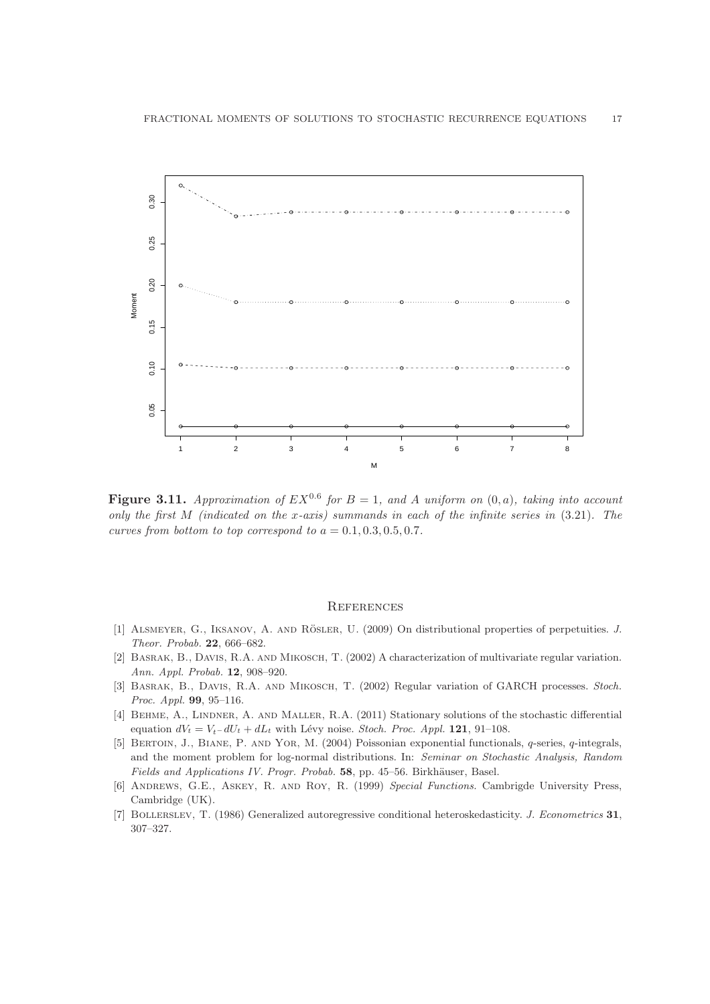

Figure 3.11. Approximation of  $EX^{0.6}$  for  $B = 1$ , and A uniform on  $(0, a)$ , taking into account *only the first* M *(indicated on the* x*-axis) summands in each of the infinite series in* (3.21)*. The curves from bottom to top correspond to*  $a = 0.1, 0.3, 0.5, 0.7$ .

### **REFERENCES**

- [1] ALSMEYER, G., IKSANOV, A. AND RÖSLER, U. (2009) On distributional properties of perpetuities. J. Theor. Probab. 22, 666–682.
- [2] Basrak, B., Davis, R.A. and Mikosch, T. (2002) A characterization of multivariate regular variation. Ann. Appl. Probab. 12, 908–920.
- [3] BASRAK, B., DAVIS, R.A. AND MIKOSCH, T. (2002) Regular variation of GARCH processes. Stoch. Proc. Appl. 99, 95–116.
- [4] BEHME, A., LINDNER, A. AND MALLER, R.A. (2011) Stationary solutions of the stochastic differential equation  $dV_t = V_t - dU_t + dL_t$  with Lévy noise. Stoch. Proc. Appl. 121, 91–108.
- [5] Bertoin, J., Biane, P. and Yor, M. (2004) Poissonian exponential functionals, q-series, q-integrals, and the moment problem for log-normal distributions. In: Seminar on Stochastic Analysis, Random Fields and Applications IV. Progr. Probab. 58, pp. 45–56. Birkhäuser, Basel.
- [6] Andrews, G.E., Askey, R. and Roy, R. (1999) Special Functions. Cambrigde University Press, Cambridge (UK).
- [7] Bollerslev, T. (1986) Generalized autoregressive conditional heteroskedasticity. J. Econometrics 31, 307–327.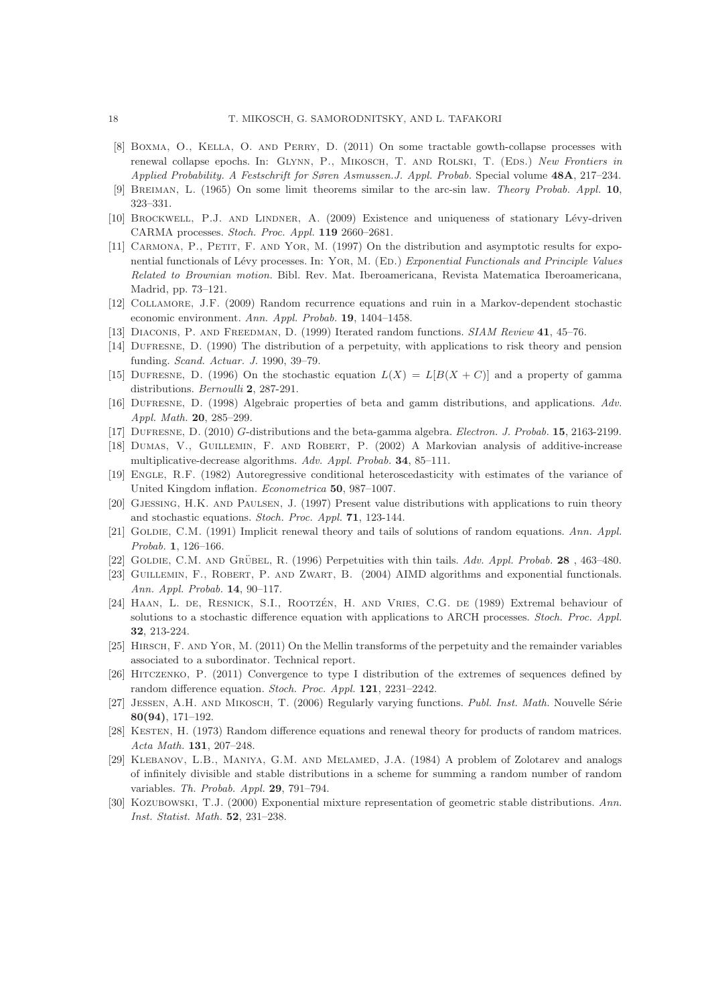- [8] Boxma, O., Kella, O. and Perry, D. (2011) On some tractable gowth-collapse processes with renewal collapse epochs. In: GLYNN, P., MIKOSCH, T. AND ROLSKI, T. (EDS.) New Frontiers in Applied Probability. A Festschrift for Søren Asmussen.J. Appl. Probab. Special volume 48A, 217–234.
- [9] Breiman, L. (1965) On some limit theorems similar to the arc-sin law. Theory Probab. Appl. 10, 323–331.
- [10] BROCKWELL, P.J. AND LINDNER, A. (2009) Existence and uniqueness of stationary Lévy-driven CARMA processes. Stoch. Proc. Appl. 119 2660–2681.
- [11] Carmona, P., Petit, F. and Yor, M. (1997) On the distribution and asymptotic results for exponential functionals of Lévy processes. In: YOR, M. (ED.) Exponential Functionals and Principle Values Related to Brownian motion. Bibl. Rev. Mat. Iberoamericana, Revista Matematica Iberoamericana, Madrid, pp. 73–121.
- [12] COLLAMORE, J.F. (2009) Random recurrence equations and ruin in a Markov-dependent stochastic economic environment. Ann. Appl. Probab. 19, 1404–1458.
- [13] DIACONIS, P. AND FREEDMAN, D. (1999) Iterated random functions. SIAM Review 41, 45–76.
- [14] Dufresne, D. (1990) The distribution of a perpetuity, with applications to risk theory and pension funding. Scand. Actuar. J. 1990, 39–79.
- [15] DUFRESNE, D. (1996) On the stochastic equation  $L(X) = L[B(X+C)]$  and a property of gamma distributions. Bernoulli 2, 287-291.
- [16] Dufresne, D. (1998) Algebraic properties of beta and gamm distributions, and applications. Adv. Appl. Math. 20, 285–299.
- [17] Dufresne, D. (2010) G-distributions and the beta-gamma algebra. Electron. J. Probab. 15, 2163-2199.
- [18] DUMAS, V., GUILLEMIN, F. AND ROBERT, P. (2002) A Markovian analysis of additive-increase multiplicative-decrease algorithms. Adv. Appl. Probab. 34, 85–111.
- [19] Engle, R.F. (1982) Autoregressive conditional heteroscedasticity with estimates of the variance of United Kingdom inflation. Econometrica 50, 987–1007.
- [20] Gjessing, H.K. and Paulsen, J. (1997) Present value distributions with applications to ruin theory and stochastic equations. Stoch. Proc. Appl. 71, 123-144.
- [21] GOLDIE, C.M. (1991) Implicit renewal theory and tails of solutions of random equations. Ann. Appl. Probab. 1, 126–166.
- [22] GOLDIE, C.M. AND GRÜBEL, R.  $(1996)$  Perpetuities with thin tails. Adv. Appl. Probab. 28, 463–480.
- [23] GUILLEMIN, F., ROBERT, P. AND ZWART, B. (2004) AIMD algorithms and exponential functionals. Ann. Appl. Probab. 14, 90–117.
- [24] HAAN, L. DE, RESNICK, S.I., ROOTZÉN, H. AND VRIES, C.G. DE (1989) Extremal behaviour of solutions to a stochastic difference equation with applications to ARCH processes. Stoch. Proc. Appl. 32, 213-224.
- [25] Hirsch, F. and Yor, M. (2011) On the Mellin transforms of the perpetuity and the remainder variables associated to a subordinator. Technical report.
- [26] Hitczenko, P. (2011) Convergence to type I distribution of the extremes of sequences defined by random difference equation. Stoch. Proc. Appl. 121, 2231–2242.
- [27] JESSEN, A.H. AND MIKOSCH, T. (2006) Regularly varying functions. Publ. Inst. Math. Nouvelle Série 80(94), 171–192.
- [28] KESTEN, H. (1973) Random difference equations and renewal theory for products of random matrices. Acta Math. 131, 207–248.
- [29] KLEBANOV, L.B., MANIYA, G.M. AND MELAMED, J.A. (1984) A problem of Zolotarev and analogs of infinitely divisible and stable distributions in a scheme for summing a random number of random variables. Th. Probab. Appl. 29, 791–794.
- [30] KOZUBOWSKI, T.J. (2000) Exponential mixture representation of geometric stable distributions. Ann. Inst. Statist. Math. 52, 231–238.